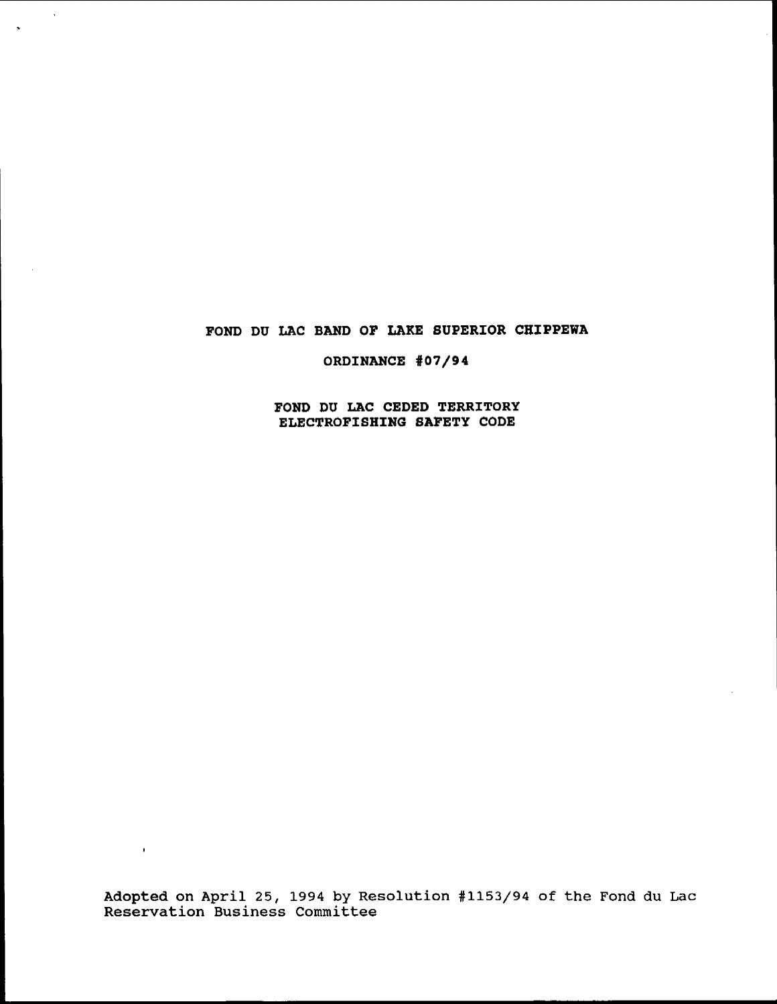# FOND DU LAC BAND OF LAKE SUPERIOR CHIPPEWA

 $\sim$   $\sim$ 

 $\sim 10^{-11}$ 

 $\rightarrow$ 

ORDINANCE #07/94

FOND DU LAC CEDED TERRITORY ELECTROFISHING SAFETY CODE

Adopted on April 25, 1994 by Resolution #1153/94 of the Fond du Lac Reservation Business committee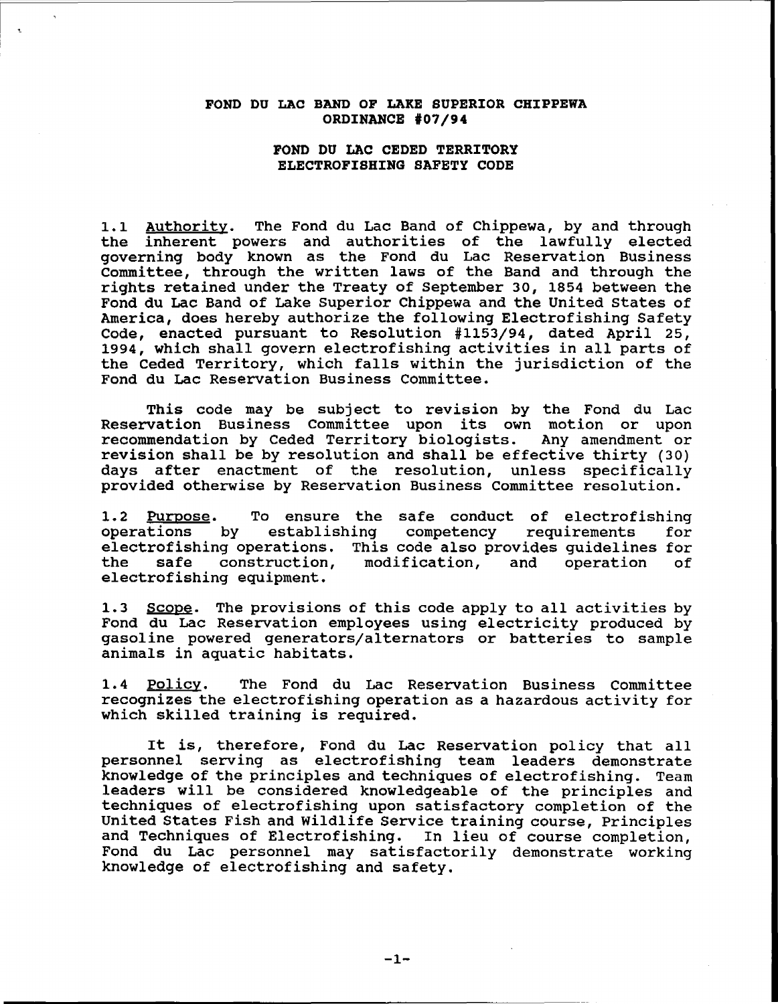#### FOND DU LAC BAND OF LAKE SUPERIOR CHIPPEWA ORDINANCE #07/94

# FOND DO LAC CEDED TERRITORY ELECTROFISHING SAFETY CODE

1.1 Authoritv. The Fond du Lac Band of Chippewa, by and through the inherent powers and authorities of the lawfully elected governing body known as the Fond du Lac Reservation Business committee, through the written laws of the Band and through the rights retained under the Treaty of September 30, 1854 between the Fond du Lac Band of Lake Superior Chippewa and the United States of America, does hereby authorize the following Electrofishing Safety Code, enacted pursuant to Resolution #1153/94, dated April 25, 1994, which shall govern electrofishing activities in all parts of the Ceded Territory, which falls within the jurisdiction of the Fond du Lac Reservation Business Committee.

This code may be subject to revision by the Fond du Lac Reservation Business Committee upon its own motion or upon recommendation by Ceded Territory biologists. Any amendment or revision shall be by resolution and shall be effective thirty (30) days after enactment of the resolution, unless specifically provided otherwise by Reservation Business committee resolution.

1.2 Purpose. To ensure the safe conduct of electrofishing<br>operations by establishing competency requirements for establishing competency requirements electrofishing operations. This code also provides guidelines for<br>the safe construction, modification, and operation of modification, electrofishing equipment.

1.3 Scope. The provisions of this code apply to all activities by Fond du Lac Reservation employees using electricity produced by gasoline powered generators/alternators or batteries to sample animals in aquatic habitats.

1.4 Policy. The Fond du Lac Reservation Business Committee recognizes the electrofishing operation as a hazardous activity for which skilled training is required.

It is, therefore, Fond du Lac Reservation policy that all personnel serving as electrofishing team leaders demonstrate knowledge of the principles and techniques of electrofishing. Team leaders will be considered knowledgeable of the principles and techniques of electrofishing upon satisfactory completion of the United States Fish and wildlife Service training course, Principles and Techniques of Electrofishing. In lieu of course completion, Fond du Lac personnel may satisfactorily demonstrate working knowledge of electrofishing and safety.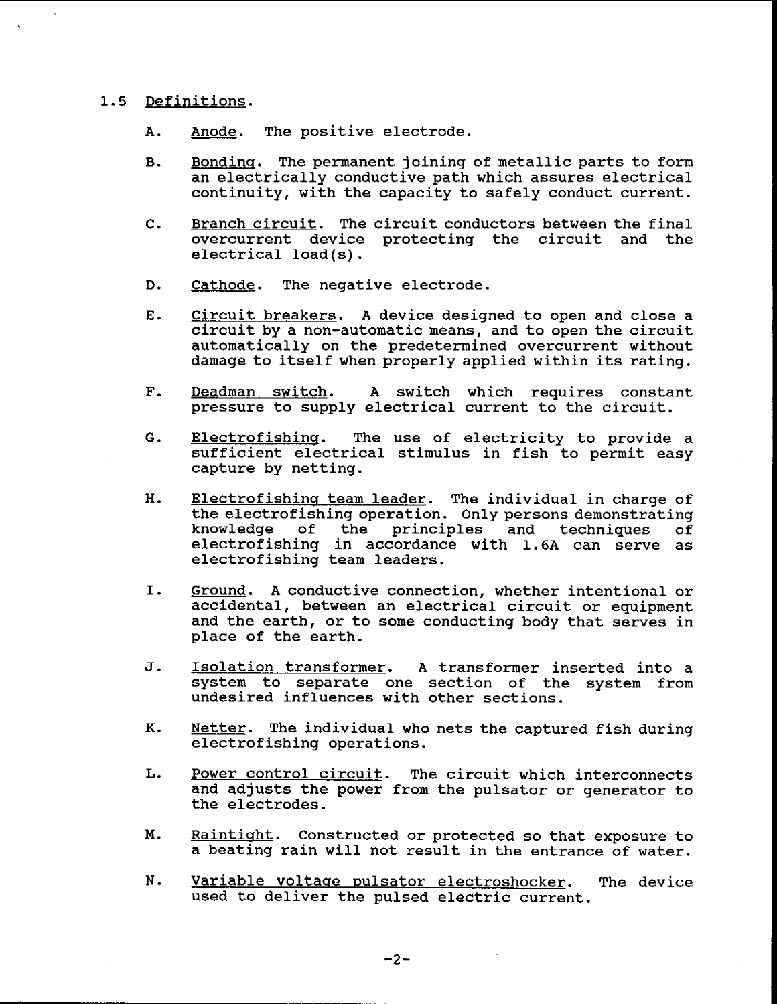#### 1.5 Definitions.

- A. Anode. The positive electrode.
- B. Bonding. The permanent joining of metallic parts to form an electrically conductive path which assures electrical continuity, with the capacity to safely conduct current.
- C. Branch circuit. The circuit conductors between the final overcurrent device protecting the circuit and the electrical load(s).
- D. Cathode. The negative electrode.
- E. Circuit breakers. A device designed to open and close a circuit by <sup>a</sup> non-automatic means, and to open the circuit automatically on the predetermined overcurrent without damage to itself when properly applied within its rating.
- F. Deadman switch. A switch which requires constant pressure to supply electrical current to the circuit.
- G. Electrofishing. The use of electricity to provide a sufficient electrical stimulus in fish to permit easy capture by netting.
- H. Electrofishing team leader. The individual in charge of the electrofishing operation. Only persons demonstrating<br>knowledge of the principles and techniques of the principles electrofishing in accordance with 1.6A can serve as electrofishing team leaders.
- I. Ground. <sup>A</sup> conductive connection, whether intentional or accidental, between an electrical circuit or equipment and the earth, or to some conducting body that serves in place of the earth.
- J. Isolation transformer. A transformer inserted into a system to separate one section of the system from undesired influences with other sections.
- K. Netter. The individual who nets the captured fish during electrofishing operations.
- L. Power control circuit. The circuit which interconnects and adjusts the power from the pulsator or generator to the electrodes.
- M. Raintight. Constructed or protected so that exposure to a beating rain will not result in the entrance of water.
- N. Variable voltage pulsator electroshocker. The device used to deliver the pulsed electric current.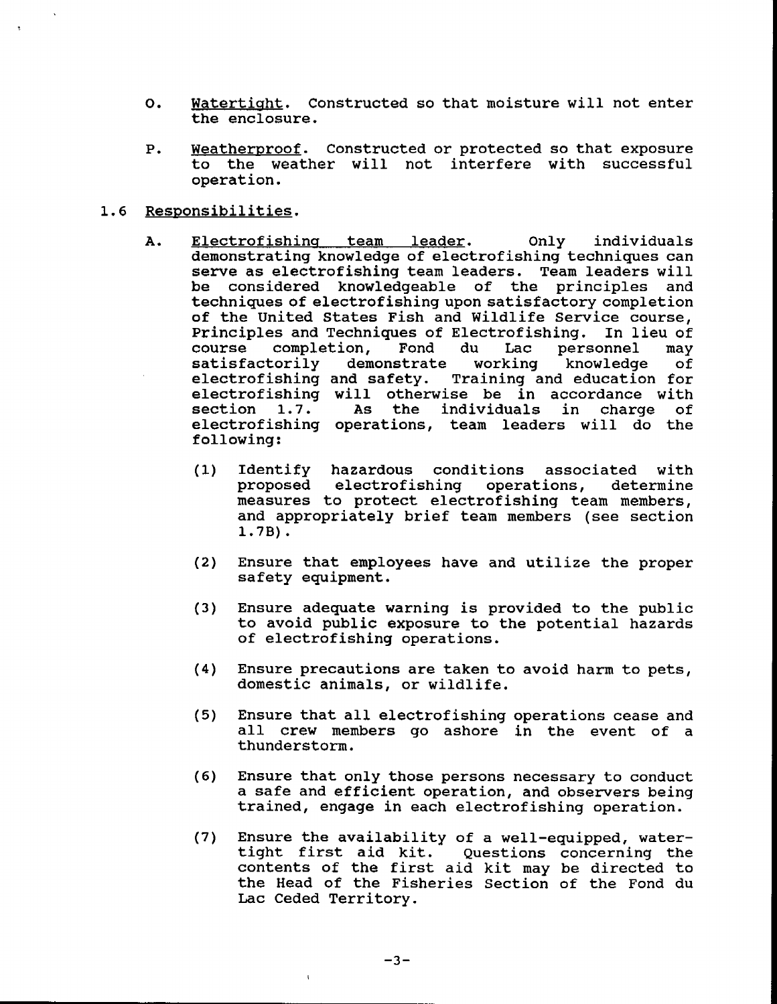- O. Watertight. Constructed so that moisture will not enter the enclosure.
- P. Weatherproof. Constructed or protected so that exposure to the weather will not interfere with successful operation.

# 1.6 Responsibilities.

- A. Electrofishing team leader. Only individuals demonstrating knowledge of electrofishing techniques can serve as electrofishing team leaders. Team leaders will be considered knowledgeable of the principles and techniques of electrofishing upon satisfactory completion of the united states Fish and wildlife Service course, Principles and Techniques of Electrofishing. In lieu of course completion, Fond du Lac personnel may completion, Fond du Lac<br>corily demonstrate working satisfactorily demonstrate working knowledge of electrofishing and safety. Training and education for electrofishing will otherwise be in accordance with<br>section 1.7. As the individuals in charge of 1.7. As the individuals in charge of electrofishing operations, team leaders will do the following:
	- (1) Identify hazardous conditions associated with proposed electrofishing operations, determine measures to protect electrofishing team members, and appropriately brief team members (see section 1. 7B) •
	- (2) Ensure that employees have and utilize the proper safety equipment.
	- (3) Ensure adequate warning is provided to the pUblic to avoid public exposure to the potential hazards of electrofishing operations.
	- (4) Ensure precautions are taken to avoid harm to pets, domestic animals, or wildlife.
	- (5) Ensure that all electrofishing operations cease and all crew members go ashore in the event of <sup>a</sup> thunderstorm.
	- (6) Ensure that only those persons necessary to conduct a safe and efficient operation, and observers being trained, engage in each electrofishing operation.
	- (7) Ensure the availability of a well-equipped, watertight first aid kit. Questions concerning the contents of the first aid kit may be directed to the Head of the Fisheries Section of the Fond du Lac Ceded Territory.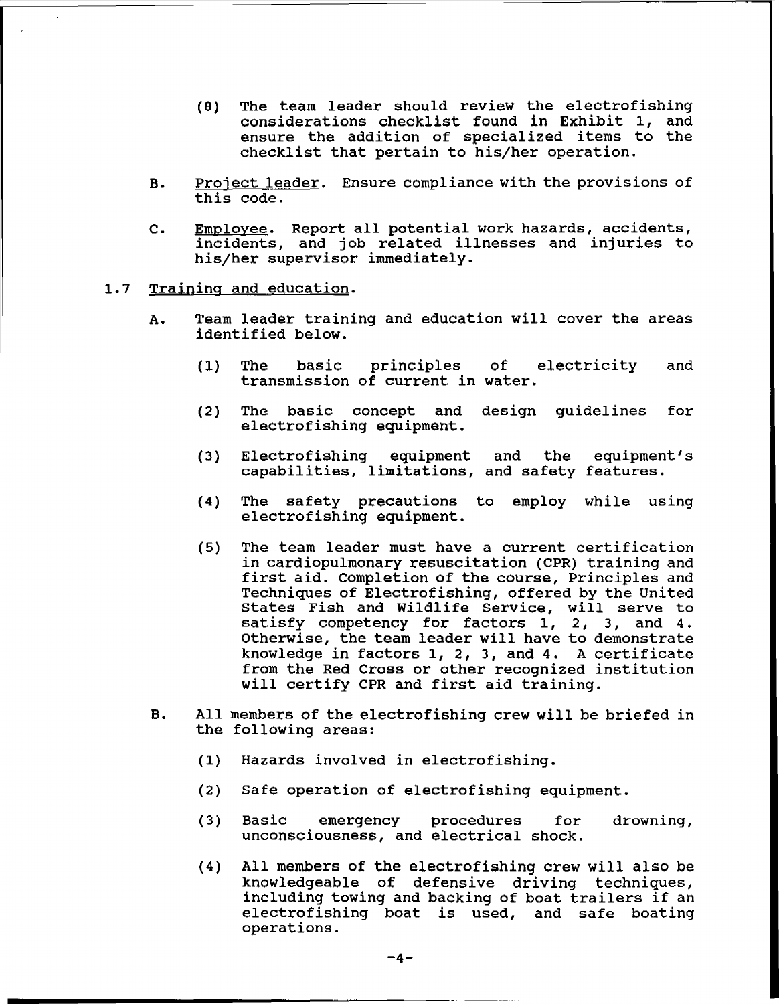- (8) The team leader should review the electrofishing considerations checklist found in Exhibit 1, and ensure the addition of specialized items to the checklist that pertain to his/her operation.
- B. Project leader. Ensure compliance with the provisions of this code.
- C. Employee. Report all potential work hazards, accidents, incidents, and job related illnesses and injuries to his/her supervisor immediately.
- 1.7 Training and education.
	- A. Team leader training and education will cover the areas identified below.
		- (1) The basic principles of electricity and transmission of current in water.
		- (2) The basic concept and design guidelines for electrofishing equipment.
		- (3) Electrofishing equipment and the equipment's capabilities, limitations, and safety features.
		- (4) The safety precautions to employ while using electrofishing equipment.
		- (5) The team leader must have <sup>a</sup> current certification in cardiopulmonary resuscitation (CPR) training and first aid. Completion of the course, principles and Techniques of Electrofishing, offered by the United states Fish and Wildlife Service, will serve to satisfy competency for factors 1, 2, 3, and 4. otherwise, the team leader will have to demonstrate knowledge in factors 1, 2, 3, and 4. <sup>A</sup> certificate from the Red Cross or other recognized institution will certify CPR and first aid training.
	- B. All members of the electrofishing crew will be briefed in the following areas:
		- (1) Hazards involved in electrofishing.
		- (2) Safe operation of electrofishing equipment.
		- (3) Basic emergency procedures for unconsciousness, and electrical shock. drowning,
		- (4) All members of the electrofishing crew will also be knowledgeable of defensive driving techniques, including towing and backing of boat trailers if an electrofishing boat is used, and safe boating operations.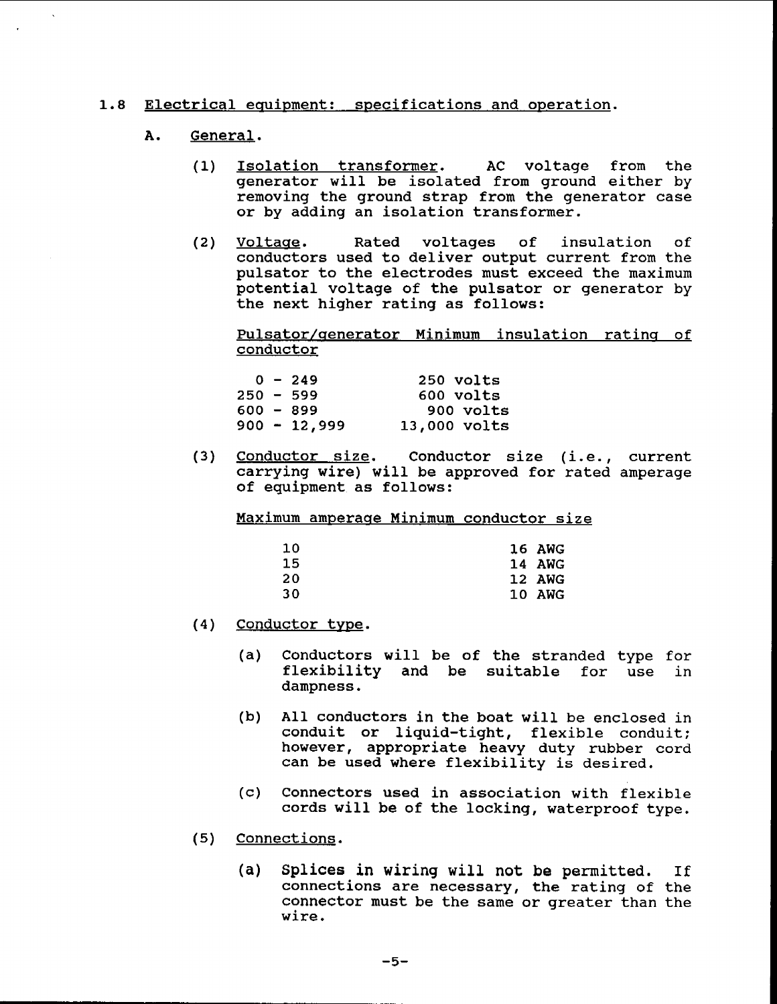# 1.8 Electrical equipment: specifications and operation.

### A. General.

- (1) Isolation transformer. AC voltage from the generator will be isolated from ground either by removing the ground strap from the generator case or by adding an isolation transformer.
- (2) Voltage. Rated voltages of insulation of conductors used to deliver output current from the pulsator to the electrodes must exceed the maximum potential voltage of the pulsator or generator by the next higher rating as follows:

Pulsator/generator Minimum insulation rating of conductor

| 250 volts    |
|--------------|
| 600 volts    |
| 900 volts    |
| 13,000 volts |
|              |

(3) Conductor size. Conductor size (i.e., current carrying wire) will be approved for rated amperage of equipment as follows:

Maximum amperage Minimum conductor size

| 10 | <b>16 AWG</b> |
|----|---------------|
| 15 | 14 AWG        |
| 20 | <b>12 AWG</b> |
| 30 | 10 AWG        |

- (4) Conductor type.
	- (a) Conductors will be of the stranded type for flexibility and be suitable for use in dampness.
	- (b) All conductors in the boat will be enclosed in conduit or liquid-tight, flexible conduit; however, appropriate heavy duty rubber cord can be used where flexibility is desired.
	- (c) Connectors used in association with flexible cords will be of the locking, waterproof type.
- (5) Connections.
	- (a) Splices in wiring will not be permitted. If connections are necessary, the rating of the connector must be the same or greater than the wire.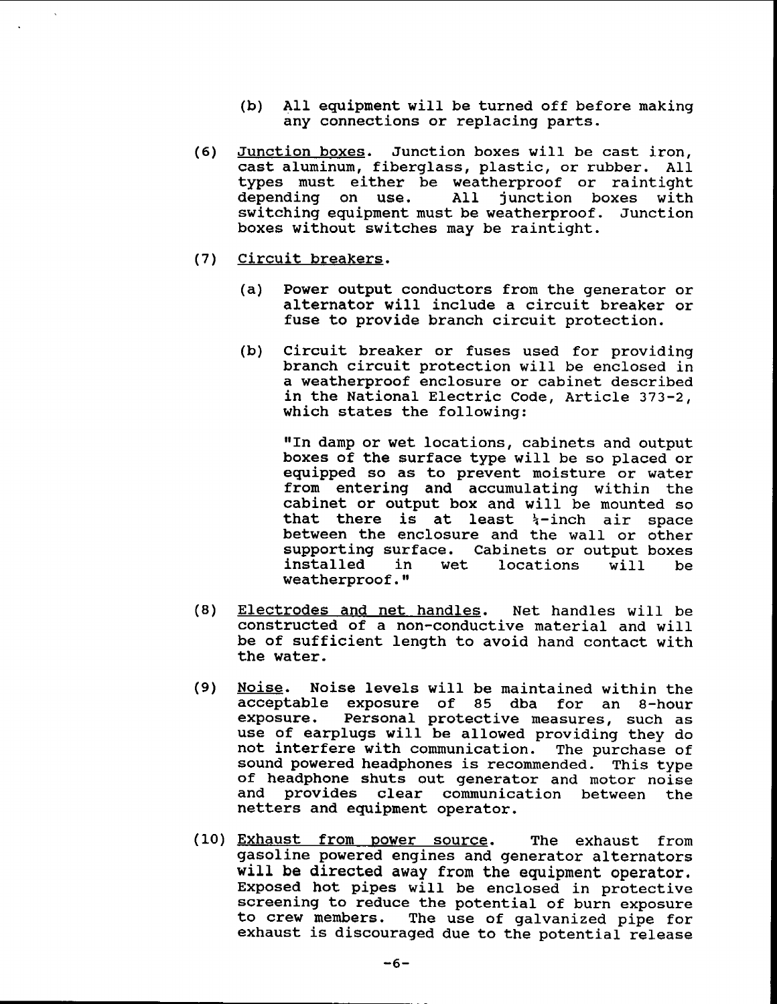- (b) All equipment will be turned off before making any connections or replacing parts.
- (6) Junction boxes. Junction boxes will be cast iron, cast aluminum, fiberglass, plastic, or rubber. All types must either be weatherproof or raintight All junction boxes switching equipment must be weatherproof. Junction boxes without switches may be raintight.
- (7) Circuit breakers.
	- (a) Power output conductors from the generator or alternator will include <sup>a</sup> circuit breaker or fuse to provide branch circuit protection.
	- (b) circuit breaker or fuses used for providing branch circuit protection will be enclosed in a weatherproof enclosure or cabinet described in the National Electric Code, Article 373-2, which states the following:

"In damp or wet locations, cabinets and output boxes of the surface type will be so placed or equipped so as to prevent moisture or water from entering and accumulating within the cabinet or output box and will be mounted so that there is at least  $\frac{1}{4}$ -inch air space between the enclosure and the wall or other supporting surface. Cabinets or output boxes installed in wet locations will be weatherproof."

- (8) Electrodes and net handles. Net handles will be constructed of a non-conductive material and will be of sufficient length to avoid hand contact with the water.
- (9) Noise. Noise levels will be maintained within the acceptable exposure of 85 dba for an 8-hour<br>exposure. Personal protective measures, such as Personal protective measures, such as use of earplugs will be allowed providing they do not interfere with communication. The purchase of sound powered headphones is recommended. This type of headphone shuts out generator and motor noise and provides clear communication between the netters and equipment operator.
- (10) Exhaust from power source. The exhaust from gasoline powered engines and generator alternators will be directed away from the equipment operator. Exposed hot pipes will be enclosed in protective screening to reduce the potential of burn exposure to crew members. The use of galvanized pipe for exhaust is discouraged due to the potential release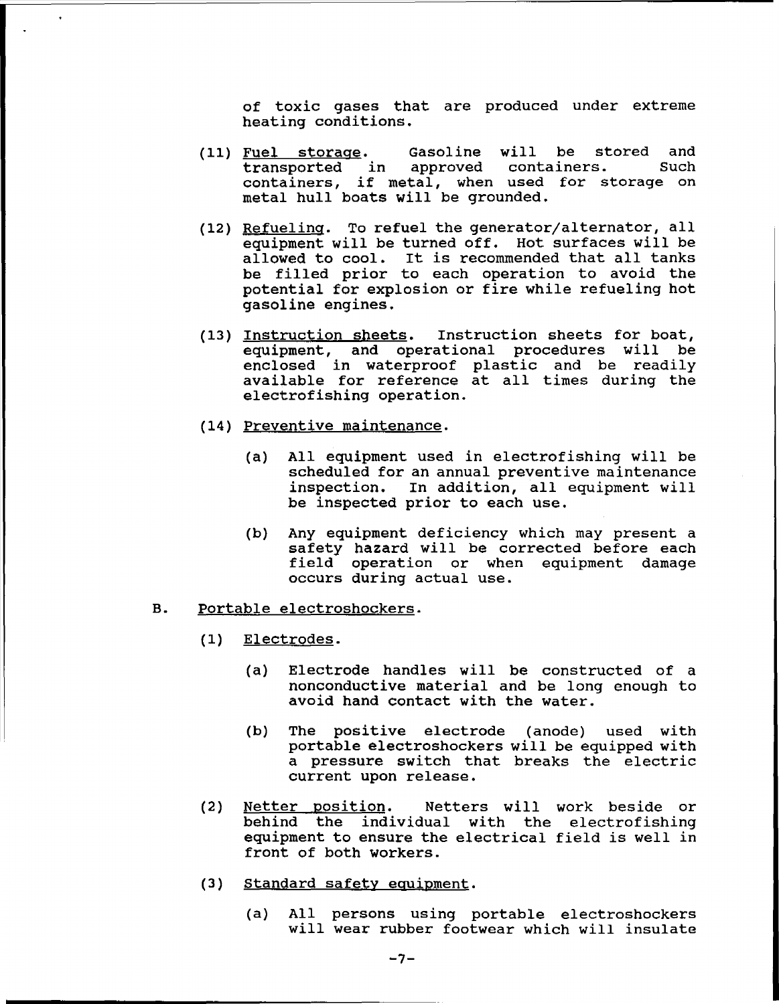of toxic gases that are produced under extreme heating conditions.

- (11) Fuel storage. Gasoline will be stored and<br>transported in approved containers. Such transported in approved containers. containers, if metal, when used for storage on metal hull boats will be grounded.
- (12) Refuelinq. To refuel the generator/alternator, all equipment will be turned off. Hot surfaces will be allowed to cool. It is recommended that all tanks be filled prior to each operation to avoid the potential for explosion or fire while refueling hot gasoline engines.
- (13) Instruction sheets. Instruction sheets for boat, equipment, and operational procedures will be enclosed in waterproof plastic and be readily available for reference at all times during the electrofishing operation.
- (14) Preventive maintenance.
	- (a) All equipment used in electrofishing will be scheduled for an annual preventive maintenance inspection. In addition, all equipment will be inspected prior to each use.
	- (b) Any equipment deficiency which may present a safety hazard will be corrected before each field operation or when equipment damage occurs during actual use.

#### B. Portable electroshockers.

- (1) Electrodes.
	- (a) Electrode handles will be constructed of a nonconductive material and be long enough to avoid hand contact with the water.
	- (b) The positive electrode (anode) used with portable electroshockers will be equipped with <sup>a</sup> pressure switch that breaks the electric current upon release.
- (2) Netter position. Netters will work beside or behind the individual with the electrofishing equipment to ensure the electrical field is well in front of both workers.
- (3) Standard safety equipment.
	- (a) All persons using portable electroshockers will wear rubber footwear which will insulate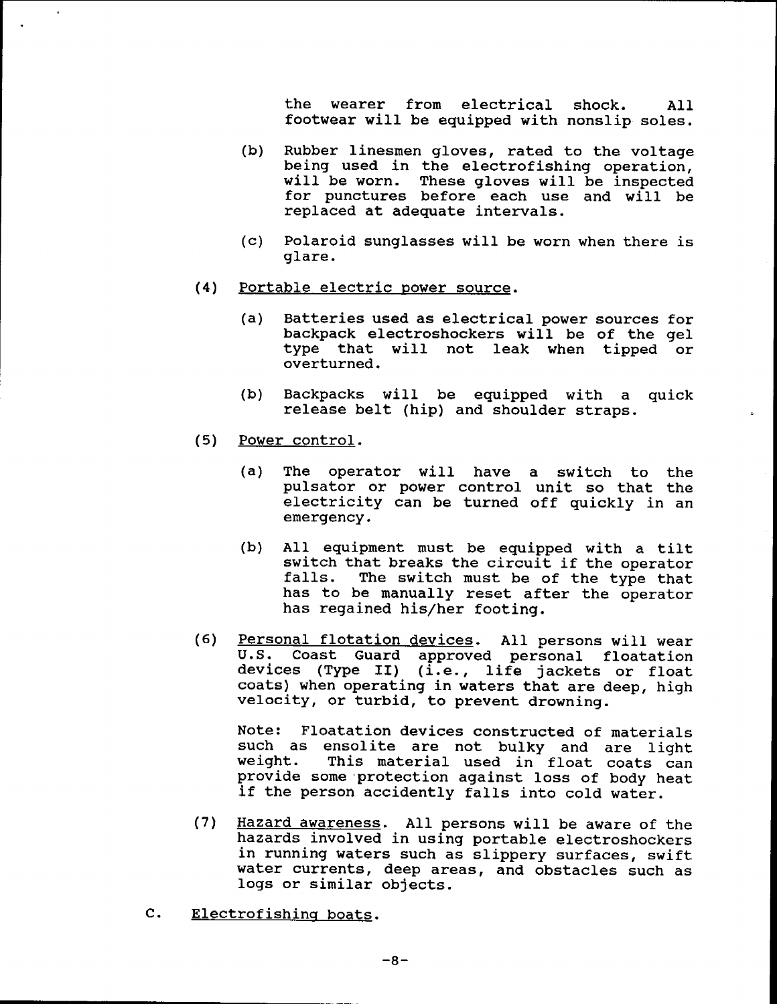the wearer from electrical shock. All footwear will be equipped with nonslip soles.

- (b) Rubber linesmen gloves, rated to the voltage being used in the electrofishing operation, will be worn. These gloves will be inspected for punctures before each use and will be replaced at adequate intervals.
- (c) Polaroid sunglasses will be worn when there is glare.
- (4) Portable electric power source.
	- (a) Batteries used as electrical power sources for backpack electroshockers will be of the gel type that will not leak when tipped or overturned.
	- (b) Backpacks will be equipped with a quick release belt (hip) and shoulder straps.
- (5) Power control.
	- (a) The operator will have a switch to the pulsator or power control unit so that the electricity can be turned off quickly in an emergency.
	- (b) All equipment must be equipped with <sup>a</sup> tilt switch that breaks the circuit if the operator<br>falls. The switch must be of the type that The switch must be of the type that has to be manually reset after the operator has regained his/her footing.
- (6) Personal flotation devices. All persons will wear U.S. Coast Guard approved personal floatation o.s. coust suard approved personal floatation<br>devices (Type II) (i.e., life jackets or float coats) when operating in waters that are deep, high velocity, or turbid, to prevent drowning.

Note: Floatation devices constructed of materials such as ensolite are not bulky and are light<br>weight. This material used in float coats can This material used in float coats can provide some 'protection against loss of body heat if the person accidently falls into cold water.

- (7) Hazard awareness. All persons will be aware of the hazards involved in using portable electroshockers in running waters such as slippery surfaces, swift water currents, deep areas, and obstacles such as logs or similar objects.
- C. Electrofishing boats.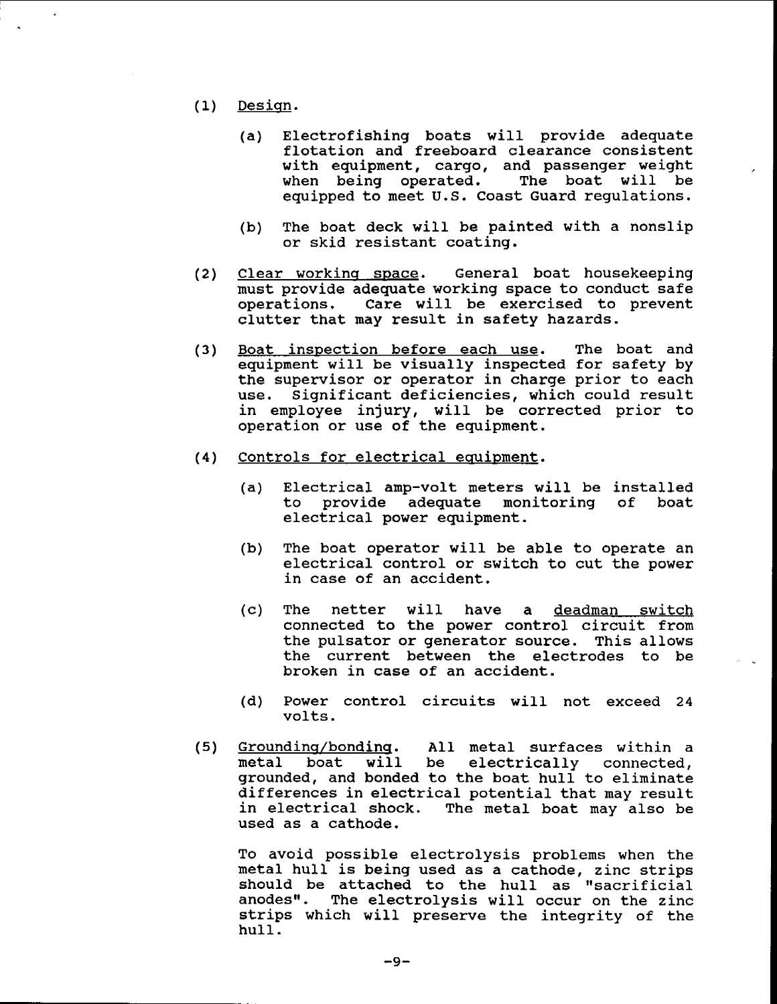- (1) Design.
	- (a) Electrofishing boats will provide adequate flotation and freeboard clearance consistent with equipment, cargo, and passenger weight when being operated. equipped to meet u.s. Coast Guard regulations.
	- (b) The boat deck will be painted with a nonslip or skid resistant coating.
- (2) Clear working space. General boat housekeeping must provide adequate working space to conduct safe Care will be exercised to prevent clutter that may result in safety hazards.
- (3) Boat inspection before each use. The boat and equipment will be visually inspected for safety by the supervisor or operator in charge prior to each use. Significant deficiencies, which could result in employee injury, will be corrected prior to operation or use of the equipment.
- (4) Controls for electrical equipment.
	- (a) Electrical amp-volt meters will be installed<br>to provide adequate monitoring of boat provide adequate monitoring electrical power equipment.
	- (b) The boat operator will be able to operate an electrical control or switch to cut the power in case of an accident.
	- (c) The netter will have a deadman switch connected to the power control circuit from the pulsator or generator source. This allows the current between the electrodes to be broken in case of an accident.
	- (d) Power control circuits will not exceed <sup>24</sup> volts.
- (5) Grounding/bonding. All metal surfaces within a<br>metal boat will be electrically connected. **Example 2012 12:20 12:20 12:20 12:20 12:20 12:20 12:20 12:20 12:20 12:20 12:20 12:20 12:20 12:20 12:20 12:20 1** grounded, and bonded to the boat hull to eliminate differences in electrical potential that may result<br>in electrical shock. The metal boat may also be The metal boat may also be used as a cathode.

To avoid possible electrolysis problems when the metal hull is being used as <sup>a</sup> cathode, zinc strips should be attached to the hull as "sacrificial<br>anodes". The electrolysis will occur on the zinc The electrolysis will occur on the zinc strips which will preserve the integrity of the hull.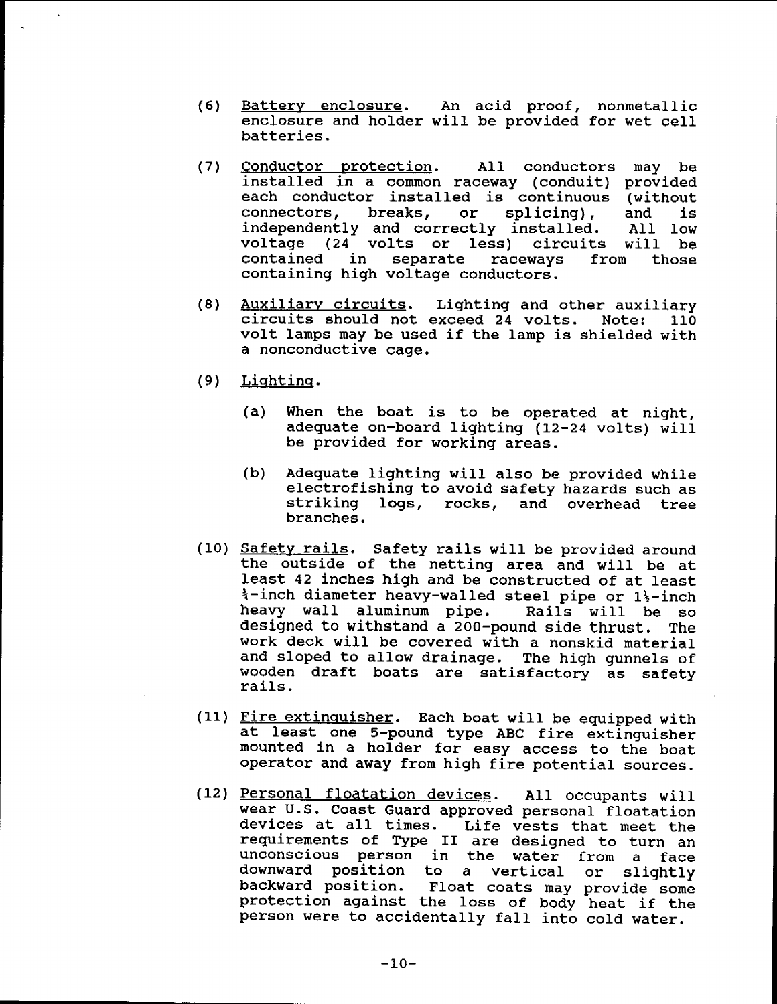- (6) Battery enclosure. An acid proof, nonmetallic enclosure and holder will be provided for wet cell batteries.
- (7) Conductor protection. All conductors may be installed in a common raceway (conduit) provided each conductor installed is continuous (without connectors, breaks, or splicing), and is connectors, breaks, or splicing), and is independently and correctly installed. All low independently and correctly installed. All low<br>voltage (24 volts or less) circuits will be<br>contained in separate raceways from those separate raceways from those containing high voltage conductors.
- (8) Auxiliary circuits. Lighting and other auxiliary<br>Exceed 24 volts. Note: 110 circuits should not exceed 24 volts. volt lamps may be used if the lamp is shielded with a nonconductive cage.
- (9) Lighting.
	- (a) When the boat is to be operated at night, adequate on-board lighting (12-24 volts) will be provided for working areas.
	- (b) Adequate lighting will also be provided while electrofishing to avoid safety hazards such as striking logs, rocks, and overhead tree branches.
- (10) Safety rails. Safety rails will be provided around the outside of the netting area and will be at least 42 inches high and be constructed of at least *i*-inch diameter heavy-walled steel pipe or 1<sup>1</sup><sub>2</sub>-inch<br>heavy wall aluminum pipe. Rails will be so heavy wall aluminum pipe. designed to withstand a 200-pound side thrust. The work deck will be covered with a nonskid material and sloped to allow drainage. The high gunnels of wooden draft boats are satisfactory as safety rails.
- (11) Fire extinguisher. Each boat will be equipped with at least one S-pound type ABC fire extinguisher mounted in a holder for easy access to the boat operator and away from high fire potential sources.
- (12) Personal floatation devices. All occupants will wear U.S. Coast Guard approved personal floatation devices at all times. Life vests that meet the requirements of Type II are designed to turn an unconscious person in the water from a face downward position to a vertical or slightly backward position. Float coats may provide some protection against the loss of body heat if the person were to accidentally fall into cold water.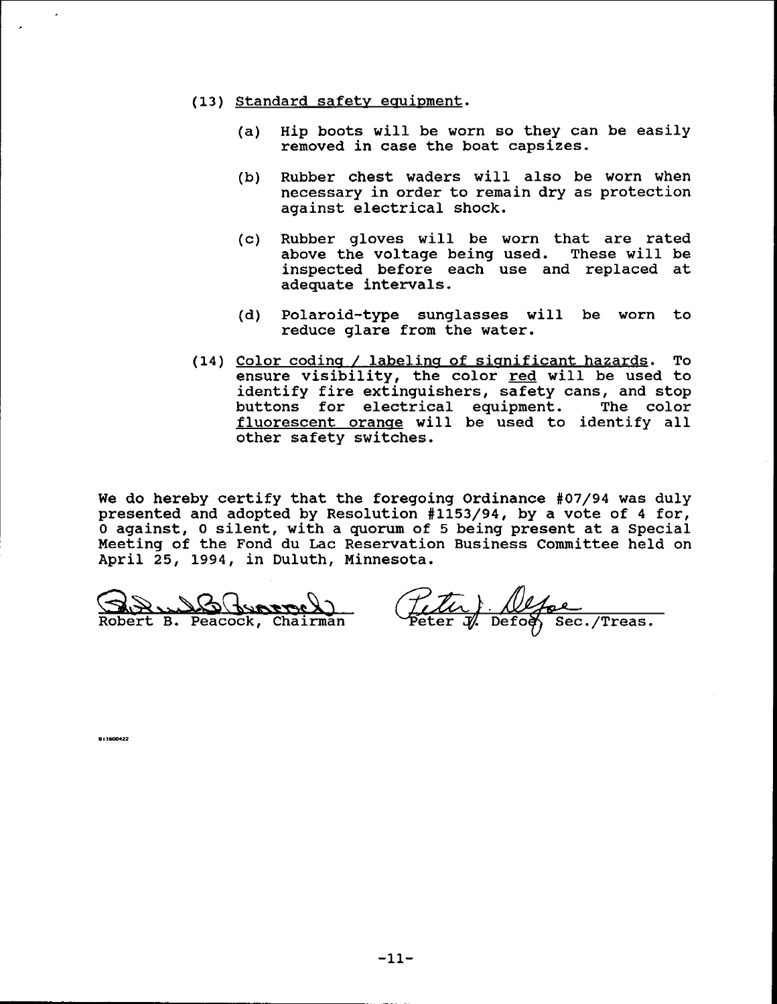- (13) Standard safety equipment.
	- (a) Hip boots will be worn so they can be easily removed in case the boat capsizes.
	- (b) RUbber chest waders will also be worn when necessary in order to remain dry as protection against electrical shock.
	- (c) Rubber gloves will be worn that are rated above the voltage being used. These will be inspected before each use and replaced at adequate intervals.
	- (d) Polaroid-type sunglasses will be worn to reduce glare from the water.
- (14) Color coding / labeling of significant hazards. To ensure visibility, the color red will be used to identify fire extinguishers, safety cans, and stop<br>buttons for electrical equipment. The color buttons for electrical equipment. fluorescent orange will be used to identify all other safety switches.

We do hereby certify that the foregoing Ordinance #07/94 was duly presented and adopted by Resolution #1153/94, by a vote of 4 for, o against, <sup>0</sup> silent, with <sup>a</sup> quorum of <sup>5</sup> being present at <sup>a</sup> Special Meeting of the Fond du Lac Reservation Business Committee held on April 25, 1994, in Duluth, Minnesota.

GBLBGCorpel)

(Titu) Nepe<br>Peter J. Defog, Sec. /Treas.

**811600422**

J.